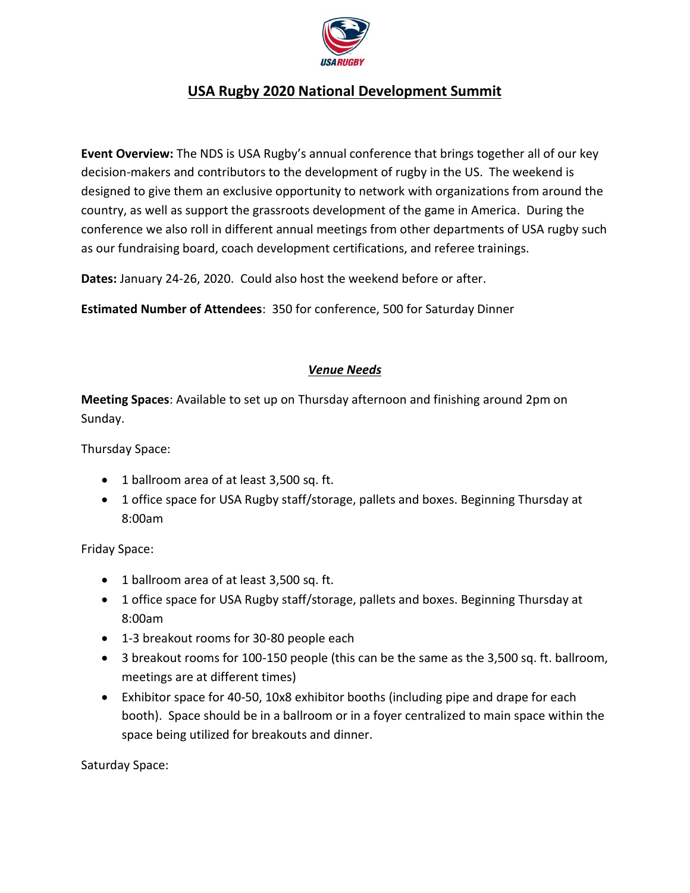

# **USA Rugby 2020 National Development Summit**

**Event Overview:** The NDS is USA Rugby's annual conference that brings together all of our key decision-makers and contributors to the development of rugby in the US. The weekend is designed to give them an exclusive opportunity to network with organizations from around the country, as well as support the grassroots development of the game in America. During the conference we also roll in different annual meetings from other departments of USA rugby such as our fundraising board, coach development certifications, and referee trainings.

**Dates:** January 24-26, 2020. Could also host the weekend before or after.

**Estimated Number of Attendees**: 350 for conference, 500 for Saturday Dinner

#### *Venue Needs*

**Meeting Spaces**: Available to set up on Thursday afternoon and finishing around 2pm on Sunday.

Thursday Space:

- 1 ballroom area of at least 3,500 sq. ft.
- 1 office space for USA Rugby staff/storage, pallets and boxes. Beginning Thursday at 8:00am

Friday Space:

- 1 ballroom area of at least 3,500 sq. ft.
- 1 office space for USA Rugby staff/storage, pallets and boxes. Beginning Thursday at 8:00am
- 1-3 breakout rooms for 30-80 people each
- 3 breakout rooms for 100-150 people (this can be the same as the 3,500 sq. ft. ballroom, meetings are at different times)
- Exhibitor space for 40-50, 10x8 exhibitor booths (including pipe and drape for each booth). Space should be in a ballroom or in a foyer centralized to main space within the space being utilized for breakouts and dinner.

Saturday Space: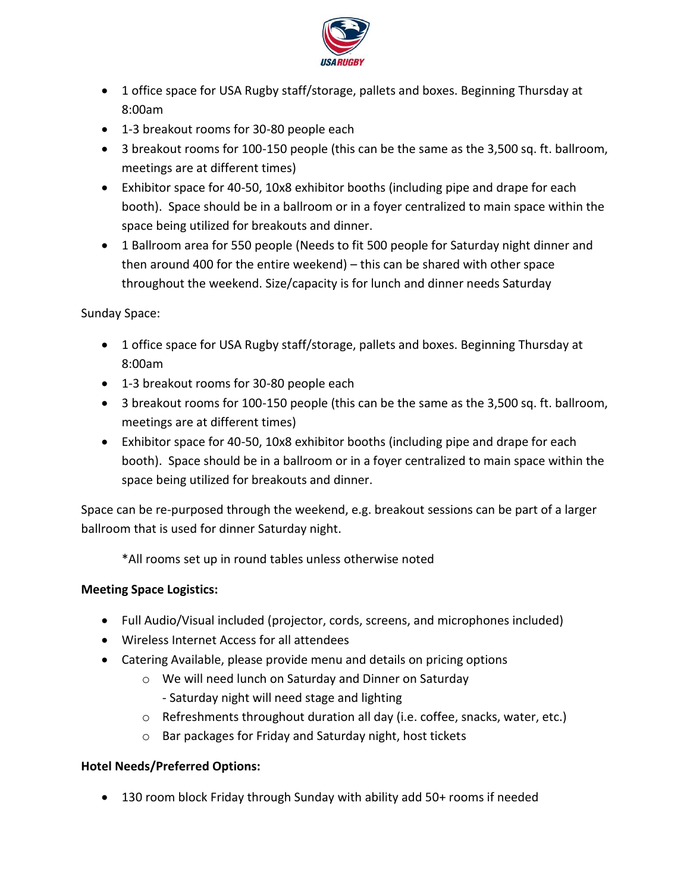

- 1 office space for USA Rugby staff/storage, pallets and boxes. Beginning Thursday at 8:00am
- 1-3 breakout rooms for 30-80 people each
- 3 breakout rooms for 100-150 people (this can be the same as the 3,500 sq. ft. ballroom, meetings are at different times)
- Exhibitor space for 40-50, 10x8 exhibitor booths (including pipe and drape for each booth). Space should be in a ballroom or in a foyer centralized to main space within the space being utilized for breakouts and dinner.
- 1 Ballroom area for 550 people (Needs to fit 500 people for Saturday night dinner and then around 400 for the entire weekend) – this can be shared with other space throughout the weekend. Size/capacity is for lunch and dinner needs Saturday

Sunday Space:

- 1 office space for USA Rugby staff/storage, pallets and boxes. Beginning Thursday at 8:00am
- 1-3 breakout rooms for 30-80 people each
- 3 breakout rooms for 100-150 people (this can be the same as the 3,500 sq. ft. ballroom, meetings are at different times)
- Exhibitor space for 40-50, 10x8 exhibitor booths (including pipe and drape for each booth). Space should be in a ballroom or in a foyer centralized to main space within the space being utilized for breakouts and dinner.

Space can be re-purposed through the weekend, e.g. breakout sessions can be part of a larger ballroom that is used for dinner Saturday night.

\*All rooms set up in round tables unless otherwise noted

## **Meeting Space Logistics:**

- Full Audio/Visual included (projector, cords, screens, and microphones included)
- Wireless Internet Access for all attendees
- Catering Available, please provide menu and details on pricing options
	- o We will need lunch on Saturday and Dinner on Saturday - Saturday night will need stage and lighting
	- o Refreshments throughout duration all day (i.e. coffee, snacks, water, etc.)
	- o Bar packages for Friday and Saturday night, host tickets

## **Hotel Needs/Preferred Options:**

• 130 room block Friday through Sunday with ability add 50+ rooms if needed